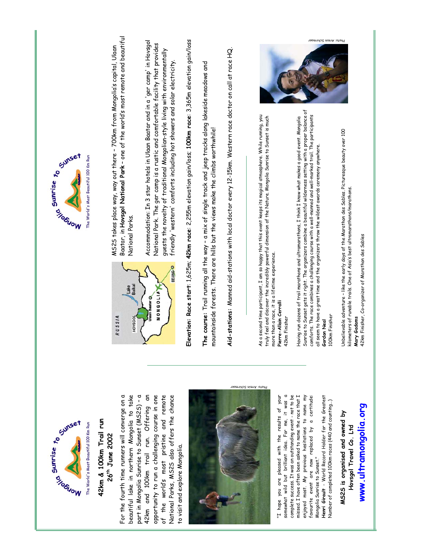

### **42km & 100km Trail run**  42km & 100km Trail run **26th June 2002**  26<sup>th</sup> June 2002

For the fourth time runners will converge on a beautiful lake in northern Mongolia to take part in Mongolia Sunrise to Sunset (MS25) - a part in Mongolia Sunrise to Sunset (MS2S) – a 42km and 100km trail run. Offering an opportunity to run a challenging course in one of the worldís most pristine and remote National Parks, MS2S also offers the chance For the fourth time runners will converge on a beautiful lake in northern Mongolia to take 42km and 100km trail run. Offering an opportunity to run a challenging course in one of the world's most pristine and remote National Parks, MS2S also offers the chance to visit and explore Mongolia. to visit and explore Mongolia.



"I hope you are pleased with the results of your somewhat wild but brilliant idea. For me, it was a somewhat wild but brilliant idea. For me, it was a complete success. It was an outstanding event - not to be enjoyed most. My previous hesitations to name my complete success. It was an outstanding event - not to be missed. I have often been asked to name the race that I missed. I have often been asked to name the race that I favourite event are now replaced by a certitude: "I hope you are pleased with the results of your enjoyed most. My previous hesitations to name my favourite event are now replaced by a certitude:<br>MongoliaSunrise'to Sunset." Mongolia Sunrise to Sunset."

**Henri Girault** - World Record Holder for the Greatest Henri Girault - World Record Holder for the Greatest Number of completed 100km races (440 and counting...) Number of completed 100km races (440 and counting...)

**www.ultramongolia.org**  www.ultramongolia.org **MS2S is organised and owned by**  MS2S is organised and owned by Hovsgol Travel Co. Ltd **Hovsgol Travel Co. Ltd**



The World's Most Beautiful 100 Km Run



Baatar, in **Hovsgol National Park** ñ one of the worldís most remote and beautiful Baatar, in H**ovsgol National Park** - one of the world's most remote and beautiful MS25 takes place way, way out there - 700km from Mongolia's capital, Ulaan MS2S takes place way, way out there ñ 700km from Mongoliaís capital, Ulaan National Parks. National Parks.

Accommodation: In 3 star hotels in Ulaan Baatar and in a 'ger camp' in Hovsgol Accommodation: In 3 star hotels in Ulaan Baatar and in a 'ger camp' in Hovsgol National Park. The ger camp is a rustic and comfortable facility that provides National Park. The ger camp is a rustic and comfortable facility that provides guests the novelty of traditional Mongolian-style living with environmentally guests the novelty of traditional Mongolian-style living with environmentally friendly 'western' comforts including hot showers and solar electricity. friendly 'western' comforts including hot showers and solar electricity. Elevation: Race start: 1,625m; 42km race: 2,255m elevation gain/loss; 100km race: 3,365m elevation gain/loss **Elevation: Race start**: 1,625m; **42km race**: 2,255m elevation gain/loss; **100km race**: 3,365m elevation gain/loss

**The course:** Trail running all the way ñ a mix of single track and jeep tracks along lakeside meadows and The course: Trail running all the way - a mix of single track and jeep tracks along lakeside meadows and mountainside forests. There are hills but the views make the climbs worthwhile! mountainside forests. There are hills but the views make the climbs worthwhile! Aid-stations: Manned aid-stations with local doctor every 12-15km. Western race doctor on call at race HQ. **Aid-stations:** Manned aid-stations with local doctor every 12-15km. Western race doctor on call at race HQ.

As a second time participant, I am so happy that this event keeps its magical atmosphere. While running, you As a second time participant, I am so happy that this event keeps its magical atmosphere. While running, you<br>truly feel and discover the incredibly powerful dimension of the Nature. Mongolia Sumrise to Sunset is much truly feel and discover the incredibly powerful dimension of the Nature. Mongolia Sunrise to Sunset is much more than a race, it is a lifetime experience. more than a race, it is a lifetime experience. **Pierre-Allain Cerralli**  Pierre-Allain Cerralli

42km Finisher

42km Finisher

Sunrise to Sunset gets it right. The organizers combine a beautiful wilderness setting with a proper balance of Sunrise to Sunset gets it right. The organizers combine a beautiful wilderness setting with a proper balance of comforts. The race combines a challenging course with a well-manned and well-marked trail. The participants comforts. The race combines a challenging course with a well-manned and well-marked trail. The participants Having run dozens of trail marathons and ultramarathons, I think I know what makes a good event. Mongolia Having run dozens of trail marathons and ultramarathons, I think I know what makes a good event. Mongolia all seem to have a great time and the organizers throw the wildest awards ceremony anywhere. all seem to have a great time and the organizers throw the wildest awards ceremony anywhere. Gordon Neal **Gordon Neal** 

### OOkm Finisher 100km Finisher

Unbelievable adventure - like the early days of the Marathon des Sables. Picturesque beauty over 100 Jnbelievable adventure – like the early days of the Marathon des Sables. Picturesque beauty over  $100\,$ kilometers of runable trails. One of Asiaís best ultramarathons/marathons. kilometers of runable trails. One of Asia's best ultramarathons/marathons. Mary Gadams **Mary Gadams**

42km Finisher, Co-organizer of Marathon des Sables

2km Finisher, Co-organizer of Marathon des Sables



Photo: Armin Schirmaer